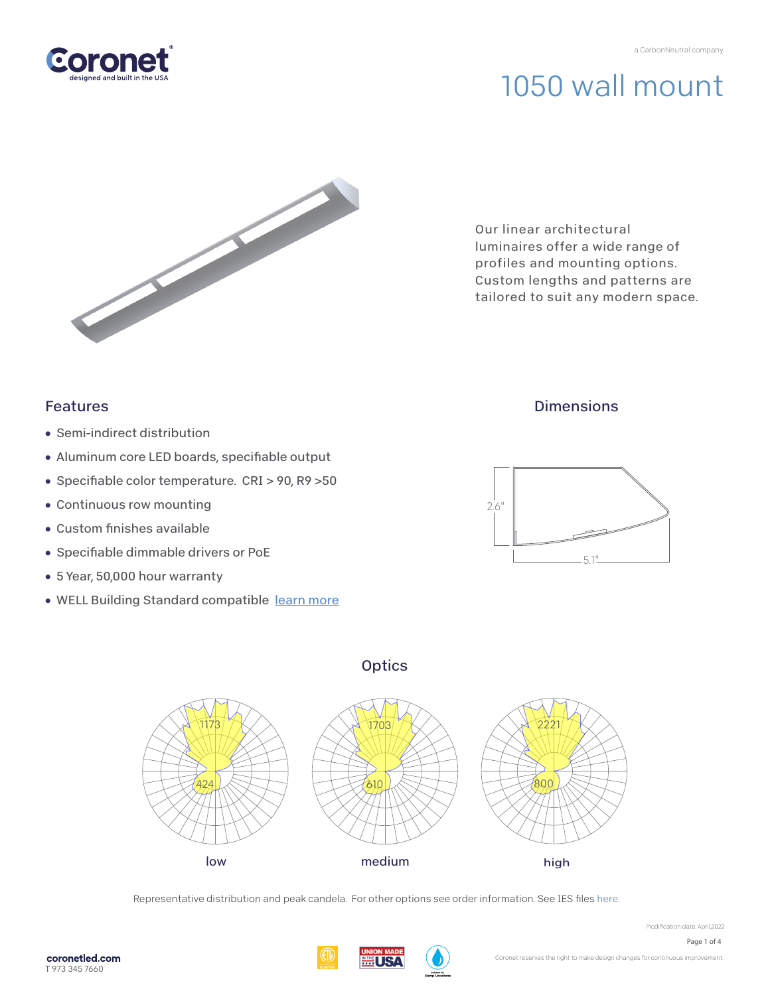

Our linear architectural luminaires offer a wide range of profiles and mounting options. Custom lengths and patterns are tailored to suit any modern space.

### Features

- Semi-indirect distribution
- Aluminum core LED boards, specifiable output
- Specifiable color temperature. CRI > 90, R9 > 50
- Continuous row mounting
- $\bullet$  Custom finishes available
- Specifiable dimmable drivers or PoE
- 5 Year, 50,000 hour warranty
- WELL Building Standard compatibl[e learn more](https://coronetled.com/well-v2-standard/)

### **Dimensions**



### **Optics**



Representative distribution and peak candela. For other options see order information. See IES fil[es here.](https://coronetled.com/downloads/)

Modification date: April,2022

Coronet reserves the right to make design changes for continuous improvement.

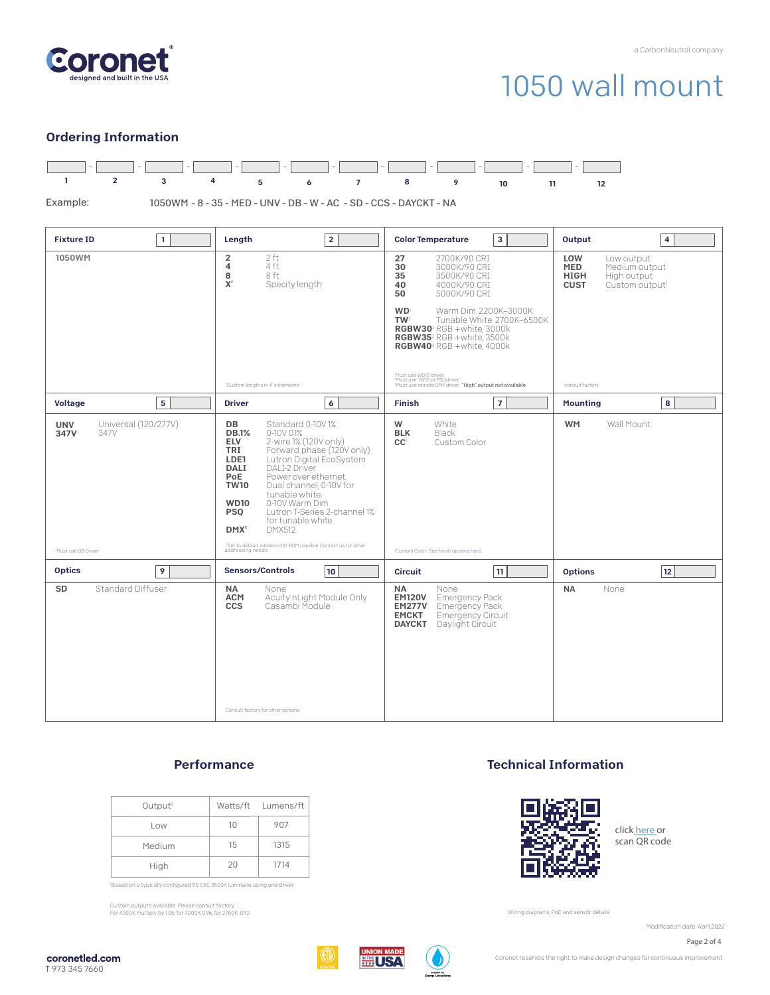

#### Ordering Information



#### **Performance**

| Output <sup>1</sup> |    | Watts/ft Lumens/ft |
|---------------------|----|--------------------|
| Low                 | 10 | 907                |
| Medium              | 15 | 1315               |
| High                | 20 | 1714               |

'Based on a typically configured 90 CRI, 3500K luminaire using one driver.

Custom outputs available. Please consult factory. For 4000K multiply by 1.05; for 3000K 0.96; for 2700K, 0.92.

#### Technical Information



click [here or](https://coronetled.com/warranty-technical-info/) scan QR code

Wiring diagrams, PoE and sensor details

Modification date: April,2022

Page 2 of 4



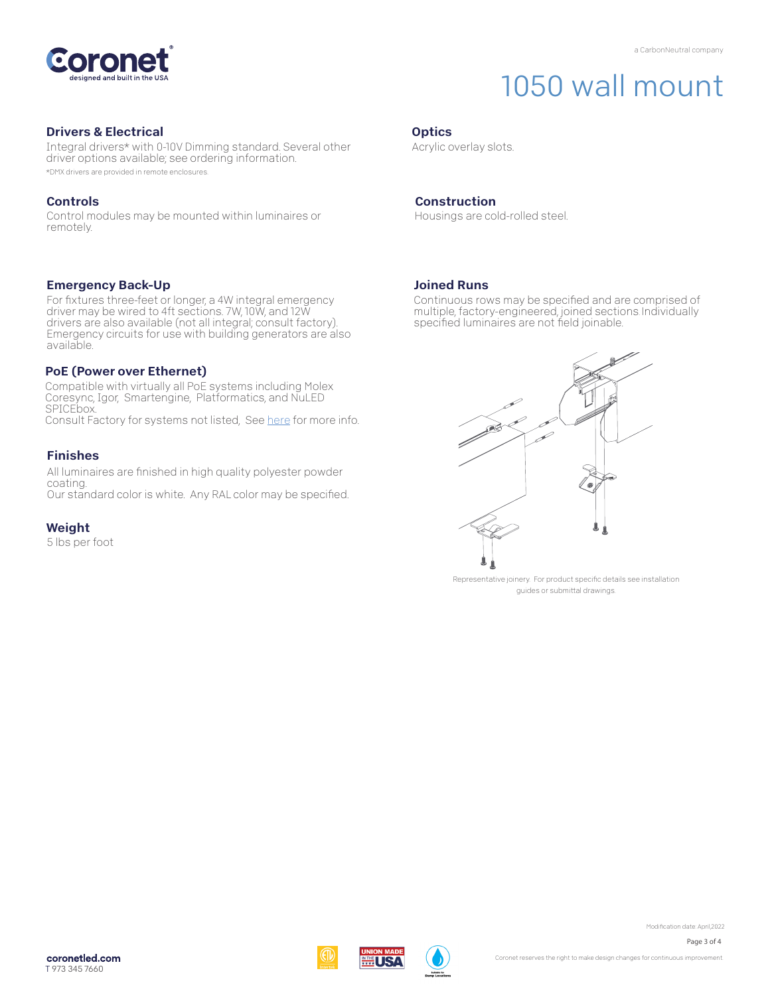

#### Drivers & Electrical

Integral drivers\* with 0-10V Dimming standard. Several other driver options available; see ordering information. \*DMX drivers are provided in remote enclosures.

#### Controls

Control modules may be mounted within luminaires or remotely.

#### Emergency Back-Up

For fixtures three-feet or longer, a 4W integral emergency driver may be wired to 4ft sections. 7W, 10W, and 12W drivers are also available (not all integral; consult factory). Emergency circuits for use with building generators are also available.

#### PoE (Power over Ethernet)

Compatible with virtually all PoE systems including Molex Coresync, Igor, Smartengine, Platformatics, and NuLED SPICEbox. Consult Factory for systems not listed, See [here fo](https://coronetled.com/warranty-technical-info/)r more info.

#### Finishes

All luminaires are finished in high quality polyester powder coating. Our standard color is white. Any RAL color may be specified.

#### Weight

5 lbs per foot

#### **Optics**

Acrylic overlay slots.

#### Construction

Housings are cold-rolled steel.

#### Joined Runs

WI ISA

Continuous rows may be specified and are comprised of multiple, factory-engineered, joined sections. Individually specified luminaires are not field joinable.



Representative joinery. For product specific details see installation guides or submittal drawings.

Modification date: April,2022